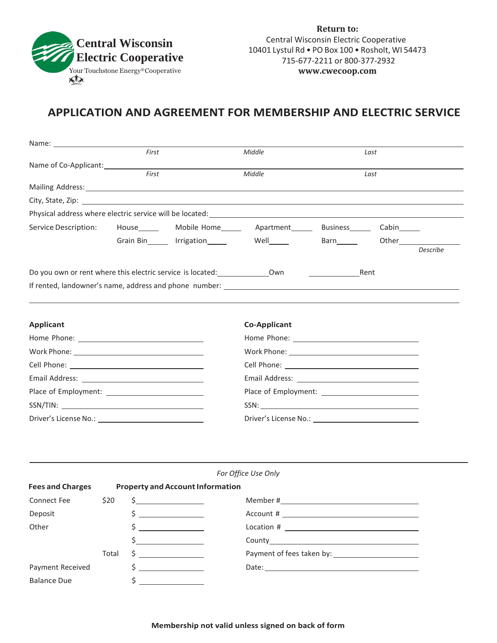

**Return to:** Central Wisconsin Electric Cooperative 10401 Lystul Rd • PO Box 100 • Rosholt, WI 54473 715-677-2211 or 800-377-2932 **[www.cwecoop.com](http://www.cwecoop.com/)**

## **APPLICATION AND AGREEMENT FOR MEMBERSHIP AND ELECTRIC SERVICE**

| First<br>Middle<br>Last<br>First<br>Middle<br>Last<br>Mailing Address: 1999 Mailing Address: 1999 Mailing Address: 1999 Mailing Address: 1999 Mailing Address: 1999 Mailing Address: 1999 Mailing Address: 1999 Mailing Address: 1999 Mailing Address: 1999 Mailing Address: 1999 Ma<br>City, State, Zip: 2008. The City of the City of the City of the City of the City of the City of the City of the City of the City of the City of the City of the City of the City of the City of the City of the City of the Ci<br>Service Description:<br>House_______ Mobile Home________ Apartment________ Business________ Cabin______<br>Grain Bin rrigation Well Barn Other Cherness Community<br><b>Describe</b><br>Do you own or rent where this electric service is located: _____________________ Own<br>Rent<br><b>Co-Applicant</b><br>SSN:<br>For Office Use Only<br><b>Property and Account Information</b><br>Connect Fee $\begin{matrix} 520 & 5 \end{matrix}$ Member #<br>\$<br>\$<br>$\begin{picture}(150,10) \put(0,0){\vector(1,0){100}} \put(15,0){\vector(1,0){100}} \put(15,0){\vector(1,0){100}} \put(15,0){\vector(1,0){100}} \put(15,0){\vector(1,0){100}} \put(15,0){\vector(1,0){100}} \put(15,0){\vector(1,0){100}} \put(15,0){\vector(1,0){100}} \put(15,0){\vector(1,0){100}} \put(15,0){\vector(1,0){100}} \put(15,0){\vector(1,0){100}}$<br><u> 1989 - Andrea Station Books, and</u><br><u> 1989 - Jan Salaman III, masa ka</u><br>Total<br>\$<br><u> 1986 - John Stein, Amerikaansk politiker</u><br>\$<br><u> 1989 - Andrea State</u> |                         |  |  |  |  |  |  |  |  |
|----------------------------------------------------------------------------------------------------------------------------------------------------------------------------------------------------------------------------------------------------------------------------------------------------------------------------------------------------------------------------------------------------------------------------------------------------------------------------------------------------------------------------------------------------------------------------------------------------------------------------------------------------------------------------------------------------------------------------------------------------------------------------------------------------------------------------------------------------------------------------------------------------------------------------------------------------------------------------------------------------------------------------------------------------------------------------------------------------------------------------------------------------------------------------------------------------------------------------------------------------------------------------------------------------------------------------------------------------------------------------------------------------------------------------------------------------------------------------------------------------------------------------------------------------------------|-------------------------|--|--|--|--|--|--|--|--|
|                                                                                                                                                                                                                                                                                                                                                                                                                                                                                                                                                                                                                                                                                                                                                                                                                                                                                                                                                                                                                                                                                                                                                                                                                                                                                                                                                                                                                                                                                                                                                                |                         |  |  |  |  |  |  |  |  |
|                                                                                                                                                                                                                                                                                                                                                                                                                                                                                                                                                                                                                                                                                                                                                                                                                                                                                                                                                                                                                                                                                                                                                                                                                                                                                                                                                                                                                                                                                                                                                                |                         |  |  |  |  |  |  |  |  |
|                                                                                                                                                                                                                                                                                                                                                                                                                                                                                                                                                                                                                                                                                                                                                                                                                                                                                                                                                                                                                                                                                                                                                                                                                                                                                                                                                                                                                                                                                                                                                                |                         |  |  |  |  |  |  |  |  |
|                                                                                                                                                                                                                                                                                                                                                                                                                                                                                                                                                                                                                                                                                                                                                                                                                                                                                                                                                                                                                                                                                                                                                                                                                                                                                                                                                                                                                                                                                                                                                                |                         |  |  |  |  |  |  |  |  |
|                                                                                                                                                                                                                                                                                                                                                                                                                                                                                                                                                                                                                                                                                                                                                                                                                                                                                                                                                                                                                                                                                                                                                                                                                                                                                                                                                                                                                                                                                                                                                                |                         |  |  |  |  |  |  |  |  |
|                                                                                                                                                                                                                                                                                                                                                                                                                                                                                                                                                                                                                                                                                                                                                                                                                                                                                                                                                                                                                                                                                                                                                                                                                                                                                                                                                                                                                                                                                                                                                                |                         |  |  |  |  |  |  |  |  |
|                                                                                                                                                                                                                                                                                                                                                                                                                                                                                                                                                                                                                                                                                                                                                                                                                                                                                                                                                                                                                                                                                                                                                                                                                                                                                                                                                                                                                                                                                                                                                                |                         |  |  |  |  |  |  |  |  |
|                                                                                                                                                                                                                                                                                                                                                                                                                                                                                                                                                                                                                                                                                                                                                                                                                                                                                                                                                                                                                                                                                                                                                                                                                                                                                                                                                                                                                                                                                                                                                                |                         |  |  |  |  |  |  |  |  |
|                                                                                                                                                                                                                                                                                                                                                                                                                                                                                                                                                                                                                                                                                                                                                                                                                                                                                                                                                                                                                                                                                                                                                                                                                                                                                                                                                                                                                                                                                                                                                                |                         |  |  |  |  |  |  |  |  |
|                                                                                                                                                                                                                                                                                                                                                                                                                                                                                                                                                                                                                                                                                                                                                                                                                                                                                                                                                                                                                                                                                                                                                                                                                                                                                                                                                                                                                                                                                                                                                                |                         |  |  |  |  |  |  |  |  |
|                                                                                                                                                                                                                                                                                                                                                                                                                                                                                                                                                                                                                                                                                                                                                                                                                                                                                                                                                                                                                                                                                                                                                                                                                                                                                                                                                                                                                                                                                                                                                                |                         |  |  |  |  |  |  |  |  |
|                                                                                                                                                                                                                                                                                                                                                                                                                                                                                                                                                                                                                                                                                                                                                                                                                                                                                                                                                                                                                                                                                                                                                                                                                                                                                                                                                                                                                                                                                                                                                                |                         |  |  |  |  |  |  |  |  |
|                                                                                                                                                                                                                                                                                                                                                                                                                                                                                                                                                                                                                                                                                                                                                                                                                                                                                                                                                                                                                                                                                                                                                                                                                                                                                                                                                                                                                                                                                                                                                                | <b>Applicant</b>        |  |  |  |  |  |  |  |  |
|                                                                                                                                                                                                                                                                                                                                                                                                                                                                                                                                                                                                                                                                                                                                                                                                                                                                                                                                                                                                                                                                                                                                                                                                                                                                                                                                                                                                                                                                                                                                                                |                         |  |  |  |  |  |  |  |  |
|                                                                                                                                                                                                                                                                                                                                                                                                                                                                                                                                                                                                                                                                                                                                                                                                                                                                                                                                                                                                                                                                                                                                                                                                                                                                                                                                                                                                                                                                                                                                                                |                         |  |  |  |  |  |  |  |  |
|                                                                                                                                                                                                                                                                                                                                                                                                                                                                                                                                                                                                                                                                                                                                                                                                                                                                                                                                                                                                                                                                                                                                                                                                                                                                                                                                                                                                                                                                                                                                                                |                         |  |  |  |  |  |  |  |  |
|                                                                                                                                                                                                                                                                                                                                                                                                                                                                                                                                                                                                                                                                                                                                                                                                                                                                                                                                                                                                                                                                                                                                                                                                                                                                                                                                                                                                                                                                                                                                                                |                         |  |  |  |  |  |  |  |  |
|                                                                                                                                                                                                                                                                                                                                                                                                                                                                                                                                                                                                                                                                                                                                                                                                                                                                                                                                                                                                                                                                                                                                                                                                                                                                                                                                                                                                                                                                                                                                                                |                         |  |  |  |  |  |  |  |  |
|                                                                                                                                                                                                                                                                                                                                                                                                                                                                                                                                                                                                                                                                                                                                                                                                                                                                                                                                                                                                                                                                                                                                                                                                                                                                                                                                                                                                                                                                                                                                                                |                         |  |  |  |  |  |  |  |  |
|                                                                                                                                                                                                                                                                                                                                                                                                                                                                                                                                                                                                                                                                                                                                                                                                                                                                                                                                                                                                                                                                                                                                                                                                                                                                                                                                                                                                                                                                                                                                                                |                         |  |  |  |  |  |  |  |  |
|                                                                                                                                                                                                                                                                                                                                                                                                                                                                                                                                                                                                                                                                                                                                                                                                                                                                                                                                                                                                                                                                                                                                                                                                                                                                                                                                                                                                                                                                                                                                                                |                         |  |  |  |  |  |  |  |  |
|                                                                                                                                                                                                                                                                                                                                                                                                                                                                                                                                                                                                                                                                                                                                                                                                                                                                                                                                                                                                                                                                                                                                                                                                                                                                                                                                                                                                                                                                                                                                                                |                         |  |  |  |  |  |  |  |  |
|                                                                                                                                                                                                                                                                                                                                                                                                                                                                                                                                                                                                                                                                                                                                                                                                                                                                                                                                                                                                                                                                                                                                                                                                                                                                                                                                                                                                                                                                                                                                                                |                         |  |  |  |  |  |  |  |  |
|                                                                                                                                                                                                                                                                                                                                                                                                                                                                                                                                                                                                                                                                                                                                                                                                                                                                                                                                                                                                                                                                                                                                                                                                                                                                                                                                                                                                                                                                                                                                                                |                         |  |  |  |  |  |  |  |  |
|                                                                                                                                                                                                                                                                                                                                                                                                                                                                                                                                                                                                                                                                                                                                                                                                                                                                                                                                                                                                                                                                                                                                                                                                                                                                                                                                                                                                                                                                                                                                                                | <b>Fees and Charges</b> |  |  |  |  |  |  |  |  |
|                                                                                                                                                                                                                                                                                                                                                                                                                                                                                                                                                                                                                                                                                                                                                                                                                                                                                                                                                                                                                                                                                                                                                                                                                                                                                                                                                                                                                                                                                                                                                                |                         |  |  |  |  |  |  |  |  |
|                                                                                                                                                                                                                                                                                                                                                                                                                                                                                                                                                                                                                                                                                                                                                                                                                                                                                                                                                                                                                                                                                                                                                                                                                                                                                                                                                                                                                                                                                                                                                                | Deposit                 |  |  |  |  |  |  |  |  |
|                                                                                                                                                                                                                                                                                                                                                                                                                                                                                                                                                                                                                                                                                                                                                                                                                                                                                                                                                                                                                                                                                                                                                                                                                                                                                                                                                                                                                                                                                                                                                                | Other                   |  |  |  |  |  |  |  |  |
|                                                                                                                                                                                                                                                                                                                                                                                                                                                                                                                                                                                                                                                                                                                                                                                                                                                                                                                                                                                                                                                                                                                                                                                                                                                                                                                                                                                                                                                                                                                                                                |                         |  |  |  |  |  |  |  |  |
|                                                                                                                                                                                                                                                                                                                                                                                                                                                                                                                                                                                                                                                                                                                                                                                                                                                                                                                                                                                                                                                                                                                                                                                                                                                                                                                                                                                                                                                                                                                                                                |                         |  |  |  |  |  |  |  |  |
|                                                                                                                                                                                                                                                                                                                                                                                                                                                                                                                                                                                                                                                                                                                                                                                                                                                                                                                                                                                                                                                                                                                                                                                                                                                                                                                                                                                                                                                                                                                                                                | Payment Received        |  |  |  |  |  |  |  |  |
|                                                                                                                                                                                                                                                                                                                                                                                                                                                                                                                                                                                                                                                                                                                                                                                                                                                                                                                                                                                                                                                                                                                                                                                                                                                                                                                                                                                                                                                                                                                                                                | <b>Balance Due</b>      |  |  |  |  |  |  |  |  |